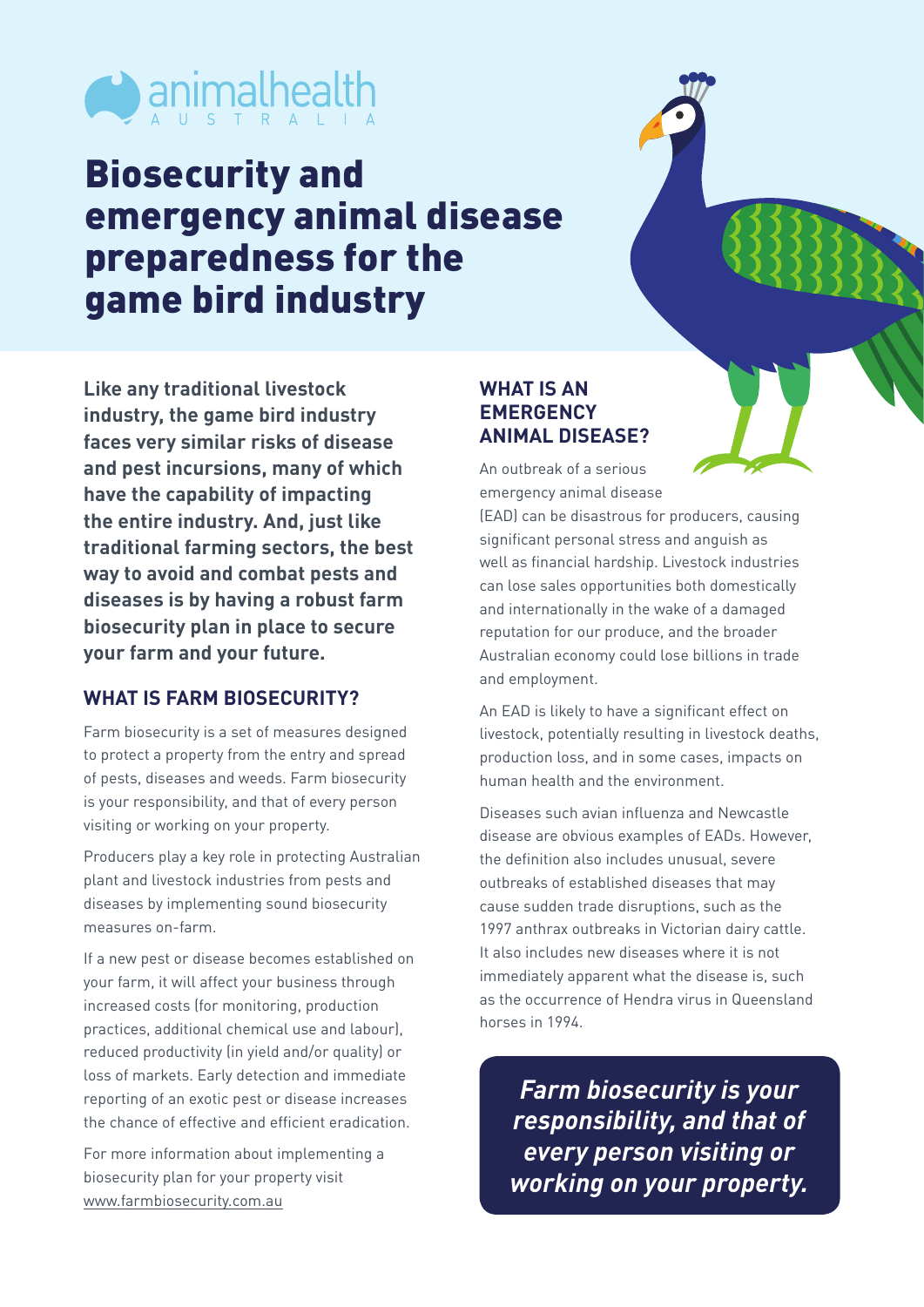

## Biosecurity and emergency animal disease preparedness for the game bird industry

**Like any traditional livestock industry, the game bird industry faces very similar risks of disease and pest incursions, many of which have the capability of impacting the entire industry. And, just like traditional farming sectors, the best way to avoid and combat pests and diseases is by having a robust farm biosecurity plan in place to secure your farm and your future.**

## **WHAT IS FARM BIOSECURITY?**

Farm biosecurity is a set of measures designed to protect a property from the entry and spread of pests, diseases and weeds. Farm biosecurity is your responsibility, and that of every person visiting or working on your property.

Producers play a key role in protecting Australian plant and livestock industries from pests and diseases by implementing sound biosecurity measures on-farm.

If a new pest or disease becomes established on your farm, it will affect your business through increased costs (for monitoring, production practices, additional chemical use and labour), reduced productivity (in yield and/or quality) or loss of markets. Early detection and immediate reporting of an exotic pest or disease increases the chance of effective and efficient eradication.

For more information about implementing a biosecurity plan for your property visit [www.farmbiosecurity.com.au](http://www.farmbiosecurity.com.au)

## **WHAT IS AN EMERGENCY ANIMAL DISEASE?**

An outbreak of a serious emergency animal disease

(EAD) can be disastrous for producers, causing significant personal stress and anguish as well as financial hardship. Livestock industries can lose sales opportunities both domestically and internationally in the wake of a damaged reputation for our produce, and the broader Australian economy could lose billions in trade and employment.

An EAD is likely to have a significant effect on livestock, potentially resulting in livestock deaths, production loss, and in some cases, impacts on human health and the environment.

Diseases such avian influenza and Newcastle disease are obvious examples of EADs. However, the definition also includes unusual, severe outbreaks of established diseases that may cause sudden trade disruptions, such as the 1997 anthrax outbreaks in Victorian dairy cattle. It also includes new diseases where it is not immediately apparent what the disease is, such as the occurrence of Hendra virus in Queensland horses in 1994.

*Farm biosecurity is your responsibility, and that of every person visiting or working on your property.*